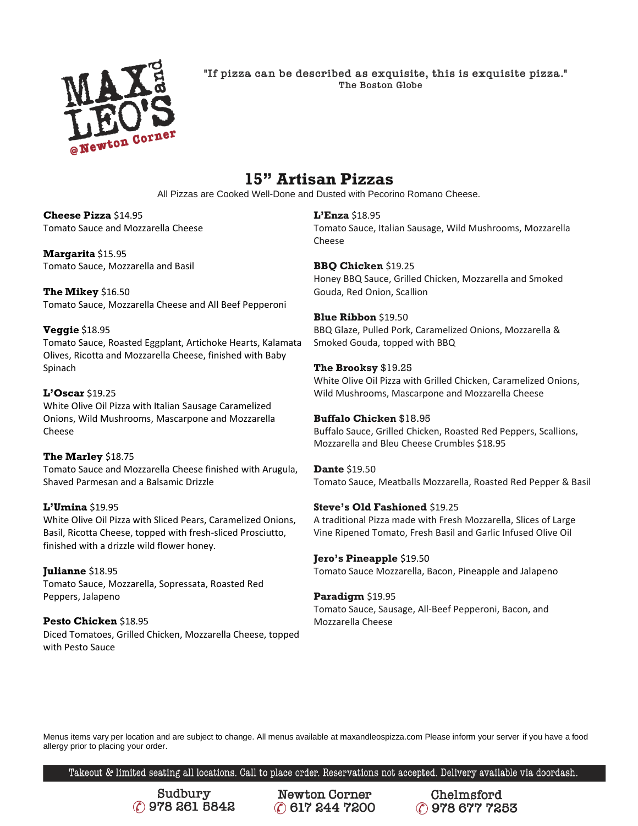

"If pizza can be described as exquisite, this is exquisite pizza." The Boston Globe

# **15" Artisan Pizzas**

All Pizzas are Cooked Well-Done and Dusted with Pecorino Romano Cheese.

#### **Cheese Pizza** \$14.95 Tomato Sauce and Mozzarella Cheese

**Margarita** \$15.95 Tomato Sauce, Mozzarella and Basil

**The Mikey** \$16.50 Tomato Sauce, Mozzarella Cheese and All Beef Pepperoni

# **Veggie** \$18.95

Tomato Sauce, Roasted Eggplant, Artichoke Hearts, Kalamata Olives, Ricotta and Mozzarella Cheese, finished with Baby Spinach

# **L'Oscar** \$19.25

White Olive Oil Pizza with Italian Sausage Caramelized Onions, Wild Mushrooms, Mascarpone and Mozzarella Cheese

# **The Marley** \$18.75

Tomato Sauce and Mozzarella Cheese finished with Arugula, Shaved Parmesan and a Balsamic Drizzle

# **L'Umina** \$19.95

White Olive Oil Pizza with Sliced Pears, Caramelized Onions, Basil, Ricotta Cheese, topped with fresh-sliced Prosciutto, finished with a drizzle wild flower honey.

**Julianne** \$18.95 Tomato Sauce, Mozzarella, Sopressata, Roasted Red Peppers, Jalapeno

**Pesto Chicken** \$18.95 Diced Tomatoes, Grilled Chicken, Mozzarella Cheese, topped with Pesto Sauce

**L'Enza** \$18.95 Tomato Sauce, Italian Sausage, Wild Mushrooms, Mozzarella Cheese

**BBQ Chicken** \$19.25 Honey BBQ Sauce, Grilled Chicken, Mozzarella and Smoked Gouda, Red Onion, Scallion

**Blue Ribbon** \$19.50 BBQ Glaze, Pulled Pork, Caramelized Onions, Mozzarella & Smoked Gouda, topped with BBQ

### **The Brooksy** \$19.25

White Olive Oil Pizza with Grilled Chicken, Caramelized Onions, Wild Mushrooms, Mascarpone and Mozzarella Cheese

### **Buffalo Chicken** \$18.95

Buffalo Sauce, Grilled Chicken, Roasted Red Peppers, Scallions, Mozzarella and Bleu Cheese Crumbles \$18.95

**Dante** \$19.50 Tomato Sauce, Meatballs Mozzarella, Roasted Red Pepper & Basil

# **Steve's Old Fashioned** \$19.25

A traditional Pizza made with Fresh Mozzarella, Slices of Large Vine Ripened Tomato, Fresh Basil and Garlic Infused Olive Oil

# **Jero's Pineapple** \$19.50

Tomato Sauce Mozzarella, Bacon, Pineapple and Jalapeno

# **Paradigm** \$19.95

Tomato Sauce, Sausage, All-Beef Pepperoni, Bacon, and Mozzarella Cheese

Menus items vary per location and are subject to change. All menus available at maxandleospizza.com Please inform your server if you have a food allergy prior to placing your order.

Takeout & limited seating all locations. Call to place order. Reservations not accepted. Delivery available via doordash.

Sudbury C 978 261 5842

**Newton Corner** C 617 244 7200

Chelmsford C 978 677 7253